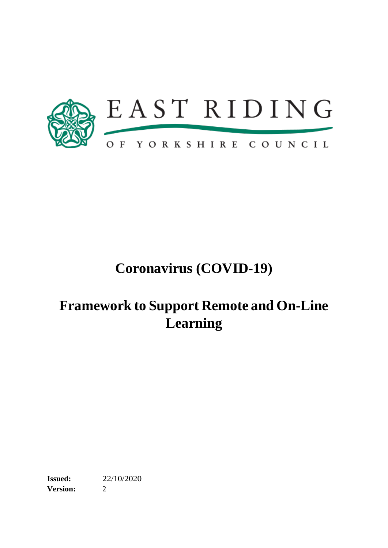

# **Coronavirus (COVID-19)**

# **Framework to Support Remote and On-Line Learning**

**Issued:** 22/10/2020 **Version:** 2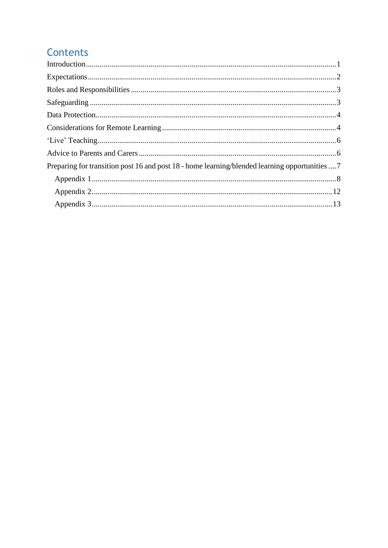# Contents

| Preparing for transition post 16 and post 18 - home learning/blended learning opportunities  7 |  |
|------------------------------------------------------------------------------------------------|--|
|                                                                                                |  |
|                                                                                                |  |
|                                                                                                |  |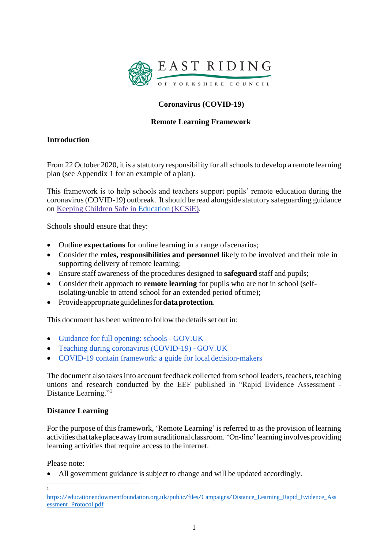

# **Coronavirus (COVID-19)**

# **Remote Learning Framework**

# <span id="page-2-0"></span>**Introduction**

From 22 October 2020, it is a statutory responsibility for all schools to develop a remote learning plan (see Appendix 1 for an example of a plan).

This framework is to help schools and teachers support pupils' remote education during the coronavirus(COVID-19) outbreak. Itshould be read alongside statutory safeguarding guidance on [Keeping C](https://www.gov.uk/government/publications/keeping-children-safe-in-education--2)hildren Safe in [Education](https://assets.publishing.service.gov.uk/government/uploads/system/uploads/attachment_data/file/912592/Keeping_children_safe_in_education_Sep_2020.pdf) (KCSiE).

Schools should ensure that they:

- Outline **expectations** for online learning in a range ofscenarios;
- Consider the **roles, responsibilities and personnel** likely to be involved and their role in supporting delivery of remote learning;
- Ensure staff awareness of the procedures designed to **safeguard** staff and pupils;
- Consider their approach to **remote learning** for pupils who are not in school (selfisolating/unable to attend school for an extended period oftime);
- Provideappropriateguidelinesfor**dataprotection**.

This document has been written to follow the details set out in:

- [Guidance for full opening: schools -](https://www.gov.uk/government/publications/actions-for-schools-during-the-coronavirus-outbreak/guidance-for-full-opening-schools) GOV.UK
- [Teaching during coronavirus \(COVID-19\) -](https://www.gov.uk/guidance/remote-education-during-coronavirus-covid-19) GOV.UK
- [COVID-19 contain framework: a guide for local](https://www.gov.uk/government/publications/containing-and-managing-local-coronavirus-covid-19-outbreaks/covid-19-contain-framework-a-guide-for-local-decision-makers) decision-makers

The document also takesinto account feedback collected from school leaders, teachers, teaching unions and research conducted by the EEF published in "Rapid Evidence Assessment - Distance Learning."<sup>1</sup>

# **Distance Learning**

For the purpose of this framework, 'Remote Learning' is referred to as the provision of learning activities that take place away from a traditional classroom. 'On-line' learning involves providing learning activities that require access to the internet.

Please note:

1

• All government guidance is subject to change and will be updated accordingly.

[https://educationendowmentfoundation.org.uk/public/files/Campaigns/Distance\\_Learning\\_Rapid\\_Evidence\\_Ass](https://educationendowmentfoundation.org.uk/public/files/Campaigns/Distance_Learning_Rapid_Evidence_Assessment_Protocol.pdf) [essment\\_Protocol.pdf](https://educationendowmentfoundation.org.uk/public/files/Campaigns/Distance_Learning_Rapid_Evidence_Assessment_Protocol.pdf)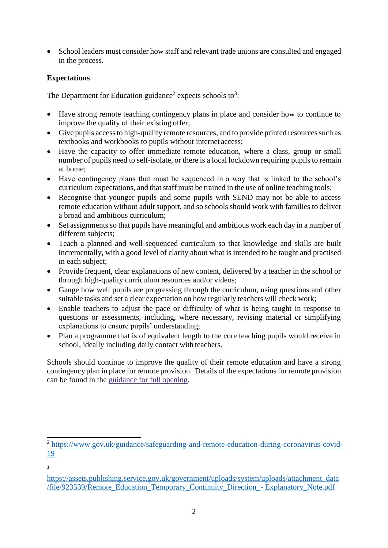• School leaders must consider how staff and relevant trade unions are consulted and engaged in the process.

# <span id="page-3-0"></span>**Expectations**

The Department for Education guidance<sup>2</sup> expects schools to<sup>3</sup>:

- Have strong remote teaching contingency plans in place and consider how to continue to improve the quality of their existing offer;
- Give pupils access to high-quality remote resources, and to provide printed resources such as textbooks and workbooks to pupils without internet access;
- Have the capacity to offer immediate remote education, where a class, group or small number of pupils need to self-isolate, or there is a local lockdown requiring pupils to remain at home;
- Have contingency plans that must be sequenced in a way that is linked to the school's curriculum expectations, and that staff must be trained in the use of online teaching tools;
- Recognise that younger pupils and some pupils with SEND may not be able to access remote education without adult support, and so schools should work with families to deliver a broad and ambitious curriculum;
- Set assignments so that pupils have meaningful and ambitious work each day in a number of different subjects;
- Teach a planned and well-sequenced curriculum so that knowledge and skills are built incrementally, with a good level of clarity about what is intended to be taught and practised in each subject;
- Provide frequent, clear explanations of new content, delivered by a teacher in the school or through high-quality curriculum resources and/or videos;
- Gauge how well pupils are progressing through the curriculum, using questions and other suitable tasks and set a clear expectation on how regularly teachers will check work;
- Enable teachers to adjust the pace or difficulty of what is being taught in response to questions or assessments, including, where necessary, revising material or simplifying explanations to ensure pupils' understanding;
- Plan a programme that is of equivalent length to the core teaching pupils would receive in school, ideally including daily contact with teachers.

Schools should continue to improve the quality of their remote education and have a strong contingency plan in place for remote provision. Details of the expectations for remote provision can be found in the [guidance for full](https://www.gov.uk/government/publications/actions-for-schools-during-the-coronavirus-outbreak/guidance-for-full-opening-schools) opening.

<sup>&</sup>lt;sup>2</sup> [https://www.gov.uk/guidance/safeguarding-and-remote-education-during-coronavirus-covid-](https://www.gov.uk/guidance/safeguarding-and-remote-education-during-coronavirus-covid-19)[19](https://www.gov.uk/guidance/safeguarding-and-remote-education-during-coronavirus-covid-19)

<sup>3</sup>

[https://assets.publishing.service.gov.uk/government/uploads/system/uploads/attachment\\_data](https://assets.publishing.service.gov.uk/government/uploads/system/uploads/attachment_data/file/923539/Remote_Education_Temporary_Continuity_Direction_-__Explanatory_Note.pdf) [/file/923539/Remote\\_Education\\_Temporary\\_Continuity\\_Direction\\_-](https://assets.publishing.service.gov.uk/government/uploads/system/uploads/attachment_data/file/923539/Remote_Education_Temporary_Continuity_Direction_-__Explanatory_Note.pdf) Explanatory\_Note.pdf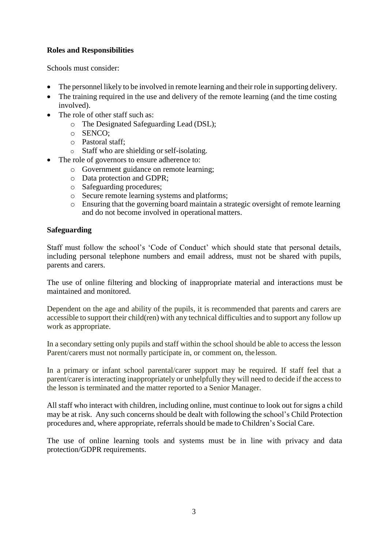# <span id="page-4-0"></span>**Roles and Responsibilities**

Schools must consider:

- The personnel likely to be involved in remote learning and their role in supporting delivery.
- The training required in the use and delivery of the remote learning (and the time costing involved).
- The role of other staff such as:
	- o The Designated Safeguarding Lead (DSL);
	- o SENCO;
	- o Pastoral staff;
	- o Staff who are shielding orself-isolating.
- The role of governors to ensure adherence to:
	- o Government guidance on remote learning;
	- o Data protection and GDPR;
	- o Safeguarding procedures;
	- o Secure remote learning systems and platforms;
	- o Ensuring that the governing board maintain a strategic oversight of remote learning and do not become involved in operational matters.

#### <span id="page-4-1"></span>**Safeguarding**

Staff must follow the school's 'Code of Conduct' which should state that personal details, including personal telephone numbers and email address, must not be shared with pupils, parents and carers.

The use of online filtering and blocking of inappropriate material and interactions must be maintained and monitored.

Dependent on the age and ability of the pupils, it is recommended that parents and carers are accessible to support their child(ren) with any technical difficulties and to support any follow up work as appropriate.

In a secondary setting only pupils and staff within the school should be able to access the lesson Parent/carers must not normally participate in, or comment on, thelesson.

In a primary or infant school parental/carer support may be required. If staff feel that a parent/carer is interacting inappropriately or unhelpfully they will need to decide if the access to the lesson is terminated and the matter reported to a Senior Manager.

All staff who interact with children, including online, must continue to look out for signs a child may be at risk. Any such concerns should be dealt with following the school's Child Protection procedures and, where appropriate, referrals should be made to Children's Social Care.

The use of online learning tools and systems must be in line with privacy and data protection/GDPR requirements.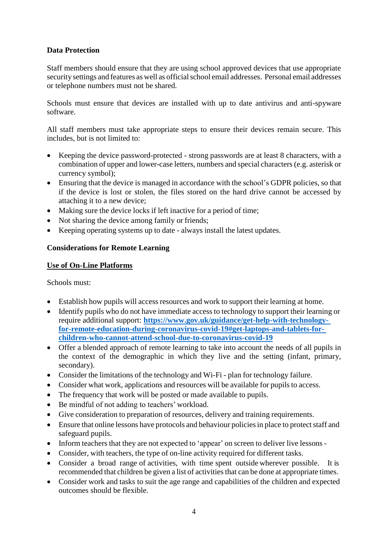# <span id="page-5-0"></span>**Data Protection**

Staff members should ensure that they are using school approved devices that use appropriate security settings and features as well as official school email addresses. Personal email addresses or telephone numbers must not be shared.

Schools must ensure that devices are installed with up to date antivirus and anti-spyware software.

All staff members must take appropriate steps to ensure their devices remain secure. This includes, but is not limited to:

- Keeping the device password-protected strong passwords are at least 8 characters, with a combination of upper and lower-case letters, numbers and special characters (e.g. asterisk or currency symbol);
- Ensuring that the device is managed in accordance with the school's GDPR policies, so that if the device is lost or stolen, the files stored on the hard drive cannot be accessed by attaching it to a new device;
- Making sure the device locks if left inactive for a period of time;
- Not sharing the device among family or friends;
- Keeping operating systems up to date always install the latest updates.

# <span id="page-5-1"></span>**Considerations for Remote Learning**

# **Use of On-Line Platforms**

Schools must:

- Establish how pupils will access resources and work to support their learning at home.
- Identify pupils who do not have immediate access to technology to support their learning or require additional support: **[https://www.gov.uk/guidance/get-help-with-technology](https://www.gov.uk/guidance/get-help-with-technology-for-remote-education-during-coronavirus-covid-19#get-laptops-and-tablets-for-children-who-cannot-attend-school-due-to-coronavirus-covid-19)[for-remote-education-during-coronavirus-covid-19#get-laptops-and-tablets-for](https://www.gov.uk/guidance/get-help-with-technology-for-remote-education-during-coronavirus-covid-19#get-laptops-and-tablets-for-children-who-cannot-attend-school-due-to-coronavirus-covid-19)[children-who-cannot-attend-school-due-to-coronavirus-covid-19](https://www.gov.uk/guidance/get-help-with-technology-for-remote-education-during-coronavirus-covid-19#get-laptops-and-tablets-for-children-who-cannot-attend-school-due-to-coronavirus-covid-19)**
- Offer a blended approach of remote learning to take into account the needs of all pupils in the context of the demographic in which they live and the setting (infant, primary, secondary).
- Consider the limitations of the technology and Wi-Fi plan for technology failure.
- Consider what work, applications and resources will be available for pupils to access.
- The frequency that work will be posted or made available to pupils.
- Be mindful of not adding to teachers' workload.
- Give consideration to preparation of resources, delivery and training requirements.
- Ensure that online lessons have protocols and behaviour policies in place to protect staff and safeguard pupils.
- Inform teachers that they are not expected to 'appear' on screen to deliver live lessons -
- Consider, with teachers, the type of on-line activity required for different tasks.
- Consider a broad range of activities, with time spent outside wherever possible. It is recommended that children be given a list of activities that can be done at appropriate times.
- Consider work and tasks to suit the age range and capabilities of the children and expected outcomes should be flexible.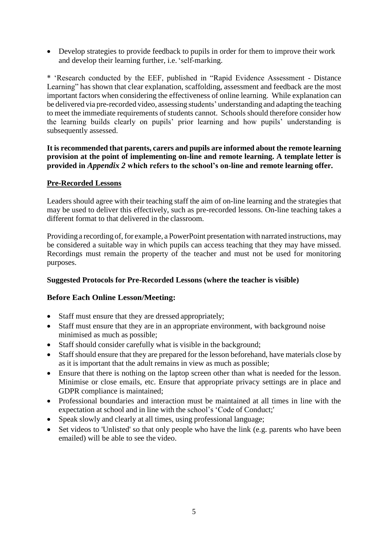• Develop strategies to provide feedback to pupils in order for them to improve their work and develop their learning further, i.e.'self-marking.

\* 'Research conducted by the EEF, published in "Rapid Evidence Assessment - Distance Learning" has shown that clear explanation, scaffolding, assessment and feedback are the most important factors when considering the effectiveness of online learning. While explanation can be delivered via pre-recorded video, assessing students' understanding and adapting the teaching to meet the immediate requirements of students cannot. Schools should therefore consider how the learning builds clearly on pupils' prior learning and how pupils' understanding is subsequently assessed.

#### **It is recommended that parents, carers and pupils are informed about the remote learning provision at the point of implementing on-line and remote learning. A template letter is provided in** *Appendix 2* **which refers to the school's on-line and remote learning offer.**

#### **Pre-Recorded Lessons**

Leaders should agree with their teaching staff the aim of on-line learning and the strategies that may be used to deliver this effectively, such as pre-recorded lessons. On-line teaching takes a different format to that delivered in the classroom.

Providing a recording of, for example, a PowerPoint presentation with narrated instructions, may be considered a suitable way in which pupils can access teaching that they may have missed. Recordings must remain the property of the teacher and must not be used for monitoring purposes.

# **Suggested Protocols for Pre-Recorded Lessons (where the teacher is visible)**

# **Before Each Online Lesson/Meeting:**

- Staff must ensure that they are dressed appropriately;
- Staff must ensure that they are in an appropriate environment, with background noise minimised as much as possible;
- Staff should consider carefully what is visible in the background;
- Staff should ensure that they are prepared for the lesson beforehand, have materials close by as it is important that the adult remains in view as much as possible;
- Ensure that there is nothing on the laptop screen other than what is needed for the lesson. Minimise or close emails, etc. Ensure that appropriate privacy settings are in place and GDPR compliance is maintained;
- Professional boundaries and interaction must be maintained at all times in line with the expectation at school and in line with the school's 'Code of Conduct;'
- Speak slowly and clearly at all times, using professional language;
- Set videos to 'Unlisted' so that only people who have the link (e.g. parents who have been emailed) will be able to see the video.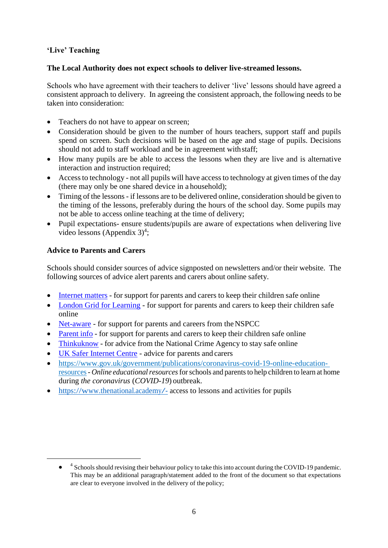# <span id="page-7-0"></span>**'Live' Teaching**

### **The Local Authority does not expect schools to deliver live-streamed lessons.**

Schools who have agreement with their teachers to deliver 'live' lessons should have agreed a consistent approach to delivery. In agreeing the consistent approach, the following needs to be taken into consideration:

- Teachers do not have to appear on screen;
- Consideration should be given to the number of hours teachers, support staff and pupils spend on screen. Such decisions will be based on the age and stage of pupils. Decisions should not add to staff workload and be in agreement withstaff;
- How many pupils are be able to access the lessons when they are live and is alternative interaction and instruction required;
- Access to technology not all pupils will have access to technology at given times of the day (there may only be one shared device in a household);
- Timing of the lessons if lessons are to be delivered online, consideration should be given to the timing of the lessons, preferably during the hours of the school day. Some pupils may not be able to access online teaching at the time of delivery;
- Pupil expectations- ensure students/pupils are aware of expectations when delivering live video lessons (Appendix  $3)^4$ ;

# <span id="page-7-1"></span>**Advice to Parents and Carers**

Schools should consider sources of advice signposted on newsletters and/or their website. The following sources of advice alert parents and carers about online safety.

- [Internet](https://www.internetmatters.org/?gclid=EAIaIQobChMIktuA5LWK2wIVRYXVCh2afg2aEAAYASAAEgIJ5vD_BwE) matters for support for parents and carers to keep their children safe online
- [London Grid for Learning](http://www.lgfl.net/online-safety/) for support for parents and carers to keep their children safe online
- [Net-aware](https://www.net-aware.org.uk/) for support for parents and careers from the NSPCC
- [Parent](https://parentinfo.org/) info for support for parents and carers to keep their children safe online
- [Thinkuknow](http://www.thinkuknow.co.uk/) for advice from the National Crime Agency to stay safe online
- [UK Safer Internet Centre](https://www.saferinternet.org.uk/advice-centre/parents-and-carers) advice for parents and carers
- [https://www.gov.uk/government/publications/coronavirus-covid-19-online-education](https://www.gov.uk/government/publications/coronavirus-covid-19-online-education-resources)[resources-](https://www.gov.uk/government/publications/coronavirus-covid-19-online-education-resources) *Online educationalresources*forschools and parentsto help children to learn at home during *the coronavirus* (*COVID*-*19*) outbreak.
- <https://www.thenational.academy/> access to lessons and activities for pupils

<sup>• &</sup>lt;sup>4</sup> Schools should revising their behaviour policy to take this into account during the COVID-19 pandemic. This may be an additional paragraph/statement added to the front of the document so that expectations are clear to everyone involved in the delivery of the policy;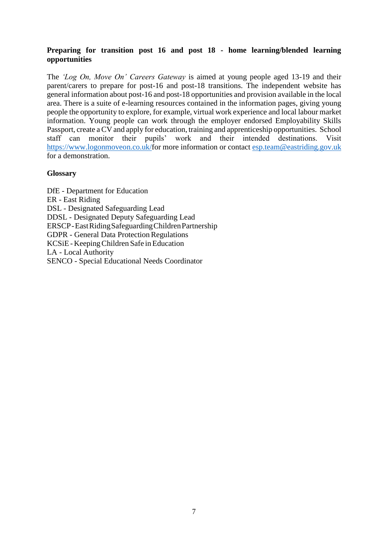### <span id="page-8-0"></span>**Preparing for transition post 16 and post 18 - home learning/blended learning opportunities**

The *'Log On, Move On' Careers Gateway* is aimed at young people aged 13-19 and their parent/carers to prepare for post-16 and post-18 transitions. The independent website has general information about post-16 and post-18 opportunities and provision available in the local area. There is a suite of e-learning resources contained in the information pages, giving young people the opportunity to explore, for example, virtual work experience and local labour market information. Young people can work through the employer endorsed Employability Skills Passport, create a CV and apply for education, training and apprenticeship opportunities. School staff can monitor their pupils' work and their intended destinations. Visit work and their intended destinations. Visit [https://www.logonmoveon.co.uk/f](https://www.logonmoveon.co.uk/)or more information or contact [esp.team@eastriding.gov.uk](mailto:esp.team@eastriding.gov.uk) for a demonstration.

#### **Glossary**

DfE - Department for Education ER - East Riding DSL - Designated Safeguarding Lead DDSL - Designated Deputy Safeguarding Lead ERSCP-EastRidingSafeguardingChildrenPartnership GDPR - General Data Protection Regulations KCSiE - Keeping Children Safe in Education LA - Local Authority SENCO - Special Educational Needs Coordinator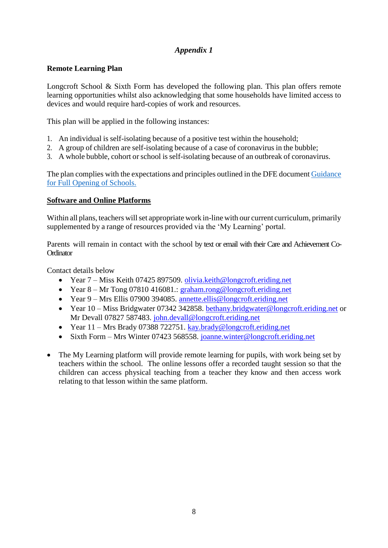# *Appendix 1*

# <span id="page-9-0"></span>**Remote Learning Plan**

Longcroft School & Sixth Form has developed the following plan. This plan offers remote learning opportunities whilst also acknowledging that some households have limited access to devices and would require hard-copies of work and resources.

This plan will be applied in the following instances:

- 1. An individual is self-isolating because of a positive test within the household;
- 2. A group of children are self-isolating because of a case of coronavirus in the bubble;
- 3. A whole bubble, cohort or school is self-isolating because of an outbreak of coronavirus.

The plan complies with the expectations and principles outlined in the DFE document [Guidance](https://www.gov.uk/government/publications/actions-for-schools-during-the-coronavirus-outbreak/guidance-for-full-opening-schools#res) [for Full Opening of](https://www.gov.uk/government/publications/actions-for-schools-during-the-coronavirus-outbreak/guidance-for-full-opening-schools#res) Schools.

#### **Software and Online Platforms**

Within all plans, teachers will set appropriate work in-line with our current curriculum, primarily supplemented by a range of resources provided via the 'My Learning' portal.

Parents will remain in contact with the school by text or email with their Care and Achievement Co-**Ordinator** 

Contact details below

- Year 7 Miss Keith 07425 897509. [olivia.keith@longcroft.eriding.net](mailto:olivia.keith@longcroft.eriding.net)
- Year 8 Mr Tong 07810 416081.: [graham.rong@longcroft.eriding.net](mailto:graham.rong@longcroft.eriding.net)
- Year 9 Mrs Ellis 07900 394085. [annette.ellis@longcroft.eriding.net](mailto:annette.ellis@longcroft.eriding.net)
- Year 10 Miss Bridgwater 07342 342858. [bethany.bridgwater@longcroft.eriding.net](mailto:bethany.bridgwater@longcroft.eriding.net) or Mr Devall 07827 587483. [john.devall@longcroft.eriding.net](mailto:john.devall@longcroft.eriding.net)
- Year 11 Mrs Brady 07388 722751. [kay.brady@longcroft.eriding.net](mailto:kay.brady@longcroft.eriding.net)
- Sixth Form Mrs Winter 07423 568558. [joanne.winter@longcroft.eriding.net](mailto:joanne.winter@longcroft.eriding.net)
- The My Learning platform will provide remote learning for pupils, with work being set by teachers within the school. The online lessons offer a recorded taught session so that the children can access physical teaching from a teacher they know and then access work relating to that lesson within the same platform.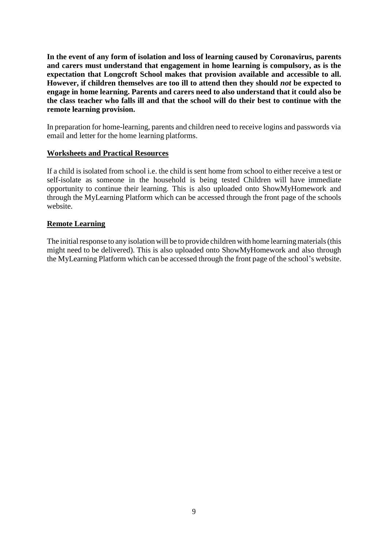**In the event of any form of isolation and loss of learning caused by Coronavirus, parents and carers must understand that engagement in home learning is compulsory, as is the expectation that Longcroft School makes that provision available and accessible to all. However, if children themselves are too ill to attend then they should** *not* **be expected to engage in home learning. Parents and carers need to also understand that it could also be the class teacher who falls ill and that the school will do their best to continue with the remote learning provision.**

In preparation for home-learning, parents and children need to receive logins and passwords via email and letter for the home learning platforms.

#### **Worksheets and Practical Resources**

If a child is isolated from school i.e. the child is sent home from school to either receive a test or self-isolate as someone in the household is being tested Children will have immediate opportunity to continue their learning. This is also uploaded onto ShowMyHomework and through the MyLearning Platform which can be accessed through the front page of the schools website.

#### **Remote Learning**

The initial response to any isolation will be to provide children with home learning materials (this might need to be delivered). This is also uploaded onto ShowMyHomework and also through the MyLearning Platform which can be accessed through the front page of the school's website.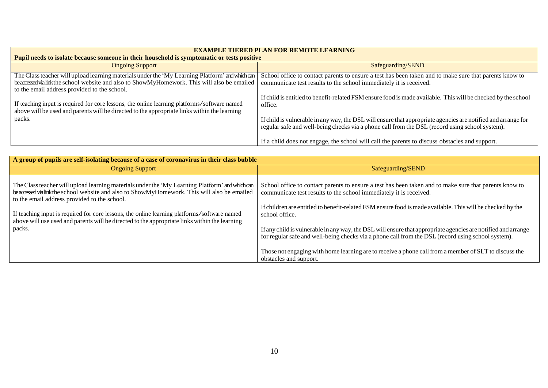| <b>EXAMPLE TIERED PLAN FOR REMOTE LEARNING</b>                                                                                                                                                                                                   |                                                                                                                                                                                                                 |  |  |
|--------------------------------------------------------------------------------------------------------------------------------------------------------------------------------------------------------------------------------------------------|-----------------------------------------------------------------------------------------------------------------------------------------------------------------------------------------------------------------|--|--|
| <b>Pupil needs to isolate because someone in their household is symptomatic or tests positive</b>                                                                                                                                                |                                                                                                                                                                                                                 |  |  |
| <b>Ongoing Support</b>                                                                                                                                                                                                                           | Safeguarding/SEND                                                                                                                                                                                               |  |  |
| The Class teacher will upload learning materials under the 'My Learning Platform' and which can<br>be accessed via link the school website and also to ShowMyHomework. This will also be emailed<br>to the email address provided to the school. | School office to contact parents to ensure a test has been taken and to make sure that parents know to<br>communicate test results to the school immediately it is received.                                    |  |  |
| If teaching input is required for core lessons, the online learning platforms/software named<br>above will be used and parents will be directed to the appropriate links within the learning                                                     | If child is entitled to benefit-related FSM ensure food is made available. This will be checked by the school<br>office.                                                                                        |  |  |
| packs.                                                                                                                                                                                                                                           | If child is vulnerable in any way, the DSL will ensure that appropriate agencies are notified and arrange for<br>regular safe and well-being checks via a phone call from the DSL (record using school system). |  |  |
|                                                                                                                                                                                                                                                  | If a child does not engage, the school will call the parents to discuss obstacles and support.                                                                                                                  |  |  |

| A group of pupils are self-isolating because of a case of coronavirus in their class bubble                                                                                                                                                      |                                                                                                                                                                                                                     |  |  |
|--------------------------------------------------------------------------------------------------------------------------------------------------------------------------------------------------------------------------------------------------|---------------------------------------------------------------------------------------------------------------------------------------------------------------------------------------------------------------------|--|--|
| <b>Ongoing Support</b>                                                                                                                                                                                                                           | Safeguarding/SEND                                                                                                                                                                                                   |  |  |
| The Class teacher will upload learning materials under the 'My Learning Platform' and which can<br>be accessed via link the school website and also to ShowMyHomework. This will also be emailed<br>to the email address provided to the school. | School office to contact parents to ensure a test has been taken and to make sure that parents know to<br>communicate test results to the school immediately it is received.                                        |  |  |
| If teaching input is required for core lessons, the online learning platforms/software named<br>above will use used and parents will be directed to the appropriate links within the learning                                                    | If children are entitled to benefit-related FSM ensure food is made available. This will be checked by the<br>school office.                                                                                        |  |  |
| packs.                                                                                                                                                                                                                                           | If any child is vulnerable in any way, the DSL will ensure that appropriate agencies are notified and arrange<br>for regular safe and well-being checks via a phone call from the DSL (record using school system). |  |  |
|                                                                                                                                                                                                                                                  | Those not engaging with home learning are to receive a phone call from a member of SLT to discuss the<br>obstacles and support.                                                                                     |  |  |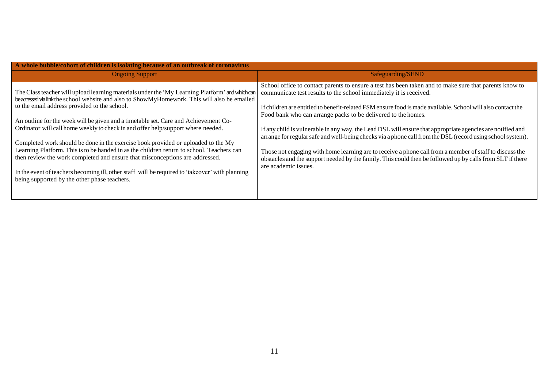| A whole bubble/cohort of children is isolating because of an outbreak of coronavirus                                                                                                                                                                                                                                                                                                                                                                                                                                                                                                                                                                                                                                                                                                                             |  |  |  |
|------------------------------------------------------------------------------------------------------------------------------------------------------------------------------------------------------------------------------------------------------------------------------------------------------------------------------------------------------------------------------------------------------------------------------------------------------------------------------------------------------------------------------------------------------------------------------------------------------------------------------------------------------------------------------------------------------------------------------------------------------------------------------------------------------------------|--|--|--|
| Safeguarding/SEND                                                                                                                                                                                                                                                                                                                                                                                                                                                                                                                                                                                                                                                                                                                                                                                                |  |  |  |
| School office to contact parents to ensure a test has been taken and to make sure that parents know to<br>communicate test results to the school immediately it is received.<br>If children are entitled to benefit-related FSM ensure food is made available. School will also contact the<br>Food bank who can arrange packs to be delivered to the homes.<br>If any child is vulnerable in any way, the Lead DSL will ensure that appropriate agencies are notified and<br>arrange for regular safe and well-being checks via a phone call from the DSL (record using school system).<br>Those not engaging with home learning are to receive a phone call from a member of staff to discuss the<br>obstacles and the support needed by the family. This could then be followed up by calls from SLT if there |  |  |  |
|                                                                                                                                                                                                                                                                                                                                                                                                                                                                                                                                                                                                                                                                                                                                                                                                                  |  |  |  |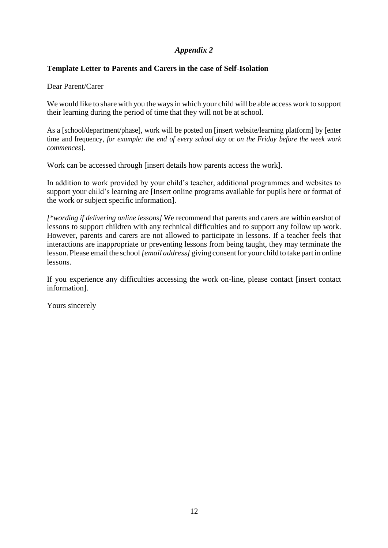# *Appendix 2*

### <span id="page-13-0"></span>**Template Letter to Parents and Carers in the case of Self-Isolation**

Dear Parent/Carer

We would like to share with you the ways in which your child will be able access work to support their learning during the period of time that they will not be at school.

As a [school/department/phase], work will be posted on [insert website/learning platform] by [enter time and frequency, *for example: the end of every school day* or *on the Friday before the week work commences*].

Work can be accessed through [insert details how parents access the work].

In addition to work provided by your child's teacher, additional programmes and websites to support your child's learning are [Insert online programs available for pupils here or format of the work or subject specific information].

*[\*wording if delivering online lessons]* We recommend that parents and carers are within earshot of lessons to support children with any technical difficulties and to support any follow up work. However, parents and carers are not allowed to participate in lessons. If a teacher feels that interactions are inappropriate or preventing lessons from being taught, they may terminate the lesson. Please email the school *[email address]* giving consent for your child to take part in online lessons.

If you experience any difficulties accessing the work on-line, please contact [insert contact information].

Yours sincerely